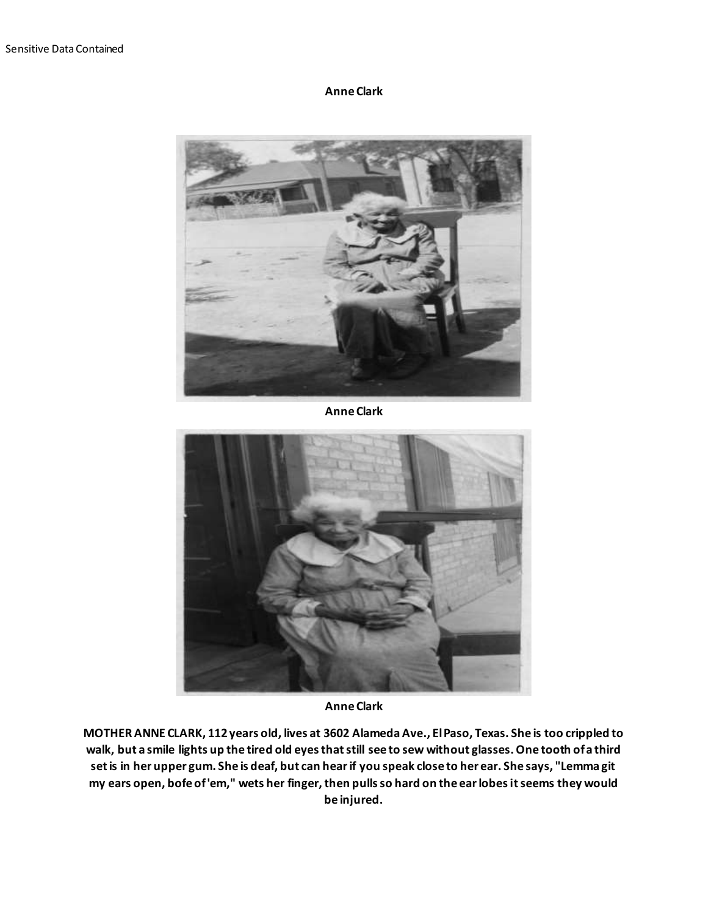**Anne Clark**



**Anne Clark**



**Anne Clark**

**MOTHER ANNE CLARK, 112 years old, lives at 3602 Alameda Ave., El Paso, Texas. She is too crippled to walk, but a smile lights up the tired old eyes that still see to sew without glasses. One tooth of a third set is in her upper gum. She is deaf, but can hear if you speak close to her ear. She says, "Lemma git my ears open, bofe of 'em," wets her finger, then pulls so hard on the ear lobes it seems they would be injured.**